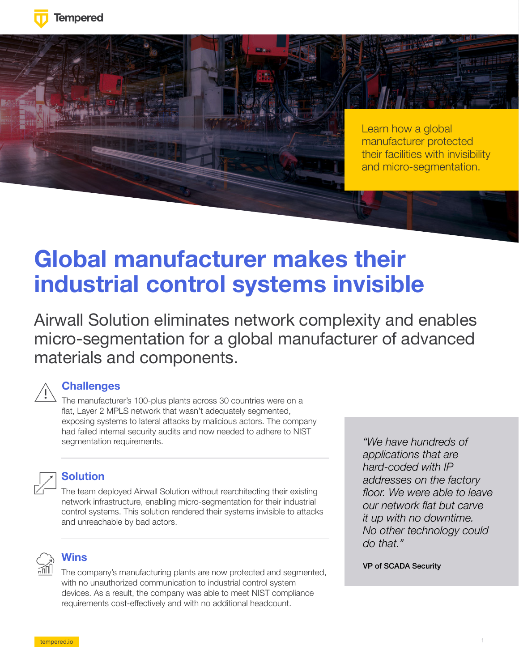



Learn how a global manufacturer protected their facilities with invisibility and micro-segmentation.

# **Global manufacturer makes their industrial control systems invisible**

Airwall Solution eliminates network complexity and enables micro-segmentation for a global manufacturer of advanced materials and components.

### **Challenges**

The manufacturer's 100-plus plants across 30 countries were on a flat, Layer 2 MPLS network that wasn't adequately segmented, exposing systems to lateral attacks by malicious actors. The company had failed internal security audits and now needed to adhere to NIST segmentation requirements.



#### **Solution**

The team deployed Airwall Solution without rearchitecting their existing network infrastructure, enabling micro-segmentation for their industrial control systems. This solution rendered their systems invisible to attacks and unreachable by bad actors.



#### **Wins**

The company's manufacturing plants are now protected and segmented, with no unauthorized communication to industrial control system devices. As a result, the company was able to meet NIST compliance requirements cost-effectively and with no additional headcount.

*"We have hundreds of applications that are hard-coded with IP addresses on the factory floor. We were able to leave our network flat but carve it up with no downtime. No other technology could do that."* 

#### VP of SCADA Security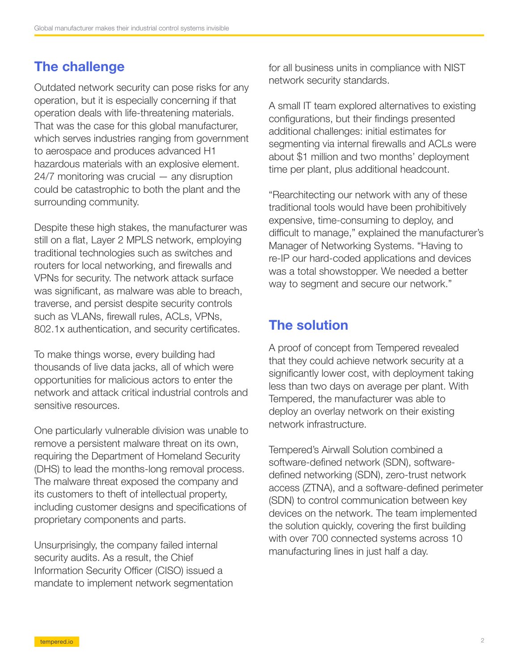## The challenge

Outdated network security can pose risks for any operation, but it is especially concerning if that operation deals with life-threatening materials. That was the case for this global manufacturer, which serves industries ranging from government to aerospace and produces advanced H1 hazardous materials with an explosive element. 24/7 monitoring was crucial — any disruption could be catastrophic to both the plant and the surrounding community.

Despite these high stakes, the manufacturer was still on a flat, Layer 2 MPLS network, employing traditional technologies such as switches and routers for local networking, and firewalls and VPNs for security. The network attack surface was significant, as malware was able to breach. traverse, and persist despite security controls such as VLANs, firewall rules, ACLs, VPNs, 802.1x authentication, and security certificates.

To make things worse, every building had thousands of live data jacks, all of which were opportunities for malicious actors to enter the network and attack critical industrial controls and sensitive resources.

One particularly vulnerable division was unable to remove a persistent malware threat on its own, requiring the Department of Homeland Security (DHS) to lead the months-long removal process. The malware threat exposed the company and its customers to theft of intellectual property, including customer designs and specifications of proprietary components and parts.

Unsurprisingly, the company failed internal security audits. As a result, the Chief Information Security Officer (CISO) issued a mandate to implement network segmentation for all business units in compliance with NIST network security standards.

A small IT team explored alternatives to existing configurations, but their findings presented additional challenges: initial estimates for segmenting via internal firewalls and ACLs were about \$1 million and two months' deployment time per plant, plus additional headcount.

"Rearchitecting our network with any of these traditional tools would have been prohibitively expensive, time-consuming to deploy, and difficult to manage," explained the manufacturer's Manager of Networking Systems. "Having to re-IP our hard-coded applications and devices was a total showstopper. We needed a better way to segment and secure our network."

## The solution

A proof of concept from Tempered revealed that they could achieve network security at a significantly lower cost, with deployment taking less than two days on average per plant. With Tempered, the manufacturer was able to deploy an overlay network on their existing network infrastructure.

Tempered's Airwall Solution combined a software-defined network (SDN), softwaredefined networking (SDN), zero-trust network access (ZTNA), and a software-defined perimeter (SDN) to control communication between key devices on the network. The team implemented the solution quickly, covering the first building with over 700 connected systems across 10 manufacturing lines in just half a day.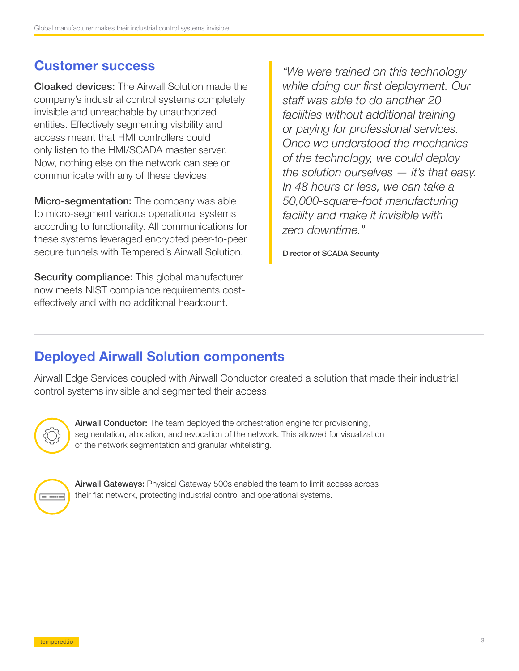## Customer success

Cloaked devices: The Airwall Solution made the company's industrial control systems completely invisible and unreachable by unauthorized entities. Effectively segmenting visibility and access meant that HMI controllers could only listen to the HMI/SCADA master server. Now, nothing else on the network can see or communicate with any of these devices.

**Micro-segmentation:** The company was able to micro-segment various operational systems according to functionality. All communications for these systems leveraged encrypted peer-to-peer secure tunnels with Tempered's Airwall Solution.

**Security compliance:** This global manufacturer now meets NIST compliance requirements costeffectively and with no additional headcount.

*"We were trained on this technology while doing our first deployment. Our staff was able to do another 20 facilities without additional training or paying for professional services. Once we understood the mechanics of the technology, we could deploy the solution ourselves — it's that easy. In 48 hours or less, we can take a 50,000-square-foot manufacturing facility and make it invisible with zero downtime."* 

Director of SCADA Security

## Deployed Airwall Solution components

Airwall Edge Services coupled with Airwall Conductor created a solution that made their industrial control systems invisible and segmented their access.



Airwall Conductor: The team deployed the orchestration engine for provisioning, segmentation, allocation, and revocation of the network. This allowed for visualization of the network segmentation and granular whitelisting.



Airwall Gateways: Physical Gateway 500s enabled the team to limit access across their flat network, protecting industrial control and operational systems.